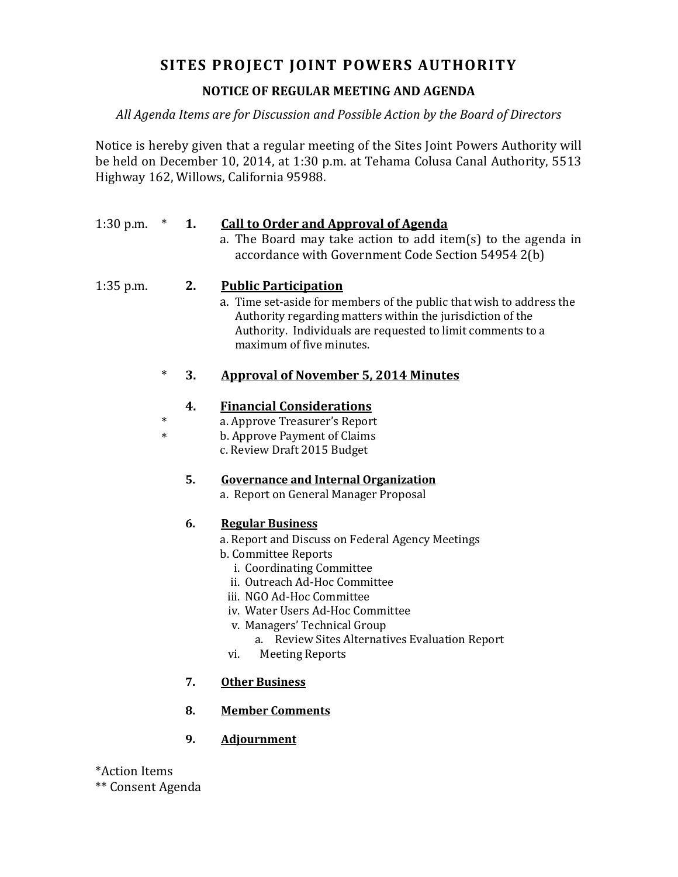# SITES PROJECT JOINT POWERS AUTHORITY

# NOTICE OF REGULAR MEETING AND AGENDA

All Agenda Items are for Discussion and Possible Action by the Board of Directors

Notice is hereby given that a regular meeting of the Sites Joint Powers Authority will be held on December 10, 2014, at 1:30 p.m. at Tehama Colusa Canal Authority, 5513 Highway 162, Willows, California 95988.

# 1:30 p.m. \* 1. Call to Order and Approval of Agenda

 a. The Board may take action to add item(s) to the agenda in accordance with Government Code Section 54954 2(b)

## 1:35 p.m. 2. Public Participation

 a. Time set-aside for members of the public that wish to address the Authority regarding matters within the jurisdiction of the Authority. Individuals are requested to limit comments to a maximum of five minutes.

## 3. Approval of November 5, 2014 Minutes

## 4. Financial Considerations

- \* \* a. Approve Treasurer's Report b. Approve Payment of Claims
	- c. Review Draft 2015 Budget

#### 5. Governance and Internal Organization

a. Report on General Manager Proposal

#### 6. Regular Business

- a. Report and Discuss on Federal Agency Meetings
- b. Committee Reports
	- i. Coordinating Committee
	- ii. Outreach Ad-Hoc Committee
- iii. NGO Ad-Hoc Committee
- iv. Water Users Ad-Hoc Committee
- v. Managers' Technical Group
	- a. Review Sites Alternatives Evaluation Report
- vi. Meeting Reports

#### 7. Other Business

- 8. Member Comments
- 9. Adjournment

\*Action Items \*\* Consent Agenda